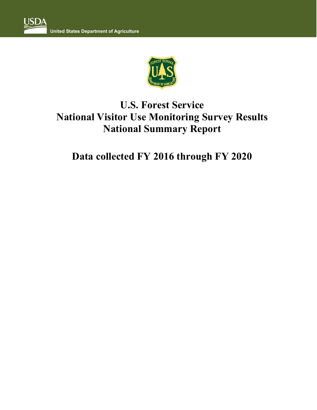

# **U.S. Forest Service National Visitor Use Monitoring Survey Results National Summary Report**

# **Data collected FY 2016 through FY 2020**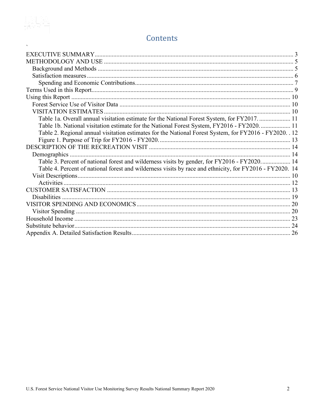

# Contents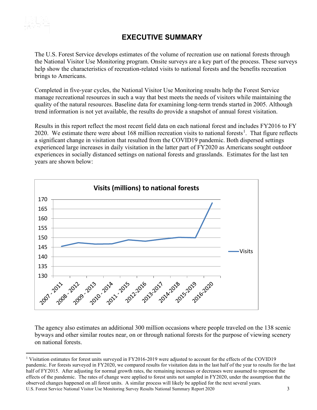<span id="page-2-0"></span>

### **EXECUTIVE SUMMARY**

The U.S. Forest Service develops estimates of the volume of recreation use on national forests through the National Visitor Use Monitoring program. Onsite surveys are a key part of the process. These surveys help show the characteristics of recreation-related visits to national forests and the benefits recreation brings to Americans.

Completed in five-year cycles, the National Visitor Use Monitoring results help the Forest Service manage recreational resources in such a way that best meets the needs of visitors while maintaining the quality of the natural resources. Baseline data for examining long-term trends started in 2005. Although trend information is not yet available, the results do provide a snapshot of annual forest visitation.

Results in this report reflect the most recent field data on each national forest and includes FY2016 to FY 2020. We estimate there were about [1](#page-2-1)68 million recreation visits to national forests<sup>1</sup>. That figure reflects a significant change in visitation that resulted from the COVID19 pandemic. Both dispersed settings experienced large increases in daily visitation in the latter part of FY2020 as Americans sought outdoor experiences in socially distanced settings on national forests and grasslands. Estimates for the last ten years are shown below:



The agency also estimates an additional 300 million occasions where people traveled on the 138 scenic byways and other similar routes near, on or through national forests for the purpose of viewing scenery on national forests.

<span id="page-2-1"></span>U.S. Forest Service National Visitor Use Monitoring Survey Results National Summary Report 2020 3 <sup>1</sup> Visitation estimates for forest units surveyed in FY2016-2019 were adjusted to account for the effects of the COVID19 pandemic. For forests surveyed in FY2020, we compared results for visitation data in the last half of the year to results for the last half of FY2015. After adjusting for normal growth rates, the remaining increases or decreases were assumed to represent the effects of the pandemic. The rates of change were applied to forest units not sampled in FY2020, under the assumption that the observed changes happened on all forest units. A similar process will likely be applied for the next several years.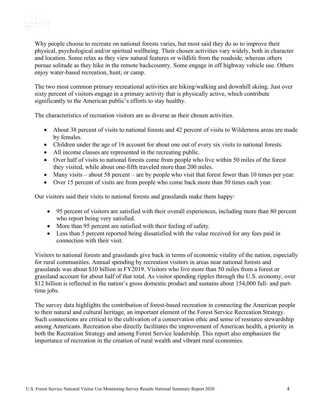

Why people choose to recreate on national forests varies, but most said they do so to improve their physical, psychological and/or spiritual wellbeing. Their chosen activities vary widely, both in character and location. Some relax as they view natural features or wildlife from the roadside, whereas others pursue solitude as they hike in the remote backcountry. Some engage in off highway vehicle use. Others enjoy water-based recreation, hunt, or camp.

The two most common primary recreational activities are hiking/walking and downhill skiing. Just over sixty percent of visitors engage in a primary activity that is physically active, which contribute significantly to the American public's efforts to stay healthy.

The characteristics of recreation visitors are as diverse as their chosen activities.

- About 38 percent of visits to national forests and 42 percent of visits to Wilderness areas are made by females.
- Children under the age of 16 account for about one out of every six visits to national forests.
- All income classes are represented in the recreating public.
- Over half of visits to national forests come from people who live within 50 miles of the forest they visited, while about one-fifth traveled more than 200 miles.
- Many visits about 58 percent are by people who visit that forest fewer than 10 times per year.
- Over 15 percent of visits are from people who come back more than 50 times each year.

Our visitors said their visits to national forests and grasslands make them happy:

- 95 percent of visitors are satisfied with their overall experiences, including more than 80 percent who report being very satisfied.
- More than 95 percent are satisfied with their feeling of safety.
- Less than 5 percent reported being dissatisfied with the value received for any fees paid in connection with their visit.

Visitors to national forests and grasslands give back in terms of economic vitality of the nation, especially for rural communities. Annual spending by recreation visitors in areas near national forests and grasslands was about \$10 billion in FY2019. Visitors who live more than 50 miles from a forest or grassland account for about half of that total. As visitor spending ripples through the U.S. economy, over \$12 billion is reflected in the nation's gross domestic product and sustains about 154,000 full- and parttime jobs.

The survey data highlights the contribution of forest-based recreation in connecting the American people to their natural and cultural heritage, an important element of the Forest Service Recreation Strategy. Such connections are critical to the cultivation of a conservation ethic and sense of resource stewardship among Americans. Recreation also directly facilitates the improvement of American health, a priority in both the Recreation Strategy and among Forest Service leadership. This report also emphasizes the importance of recreation in the creation of rural wealth and vibrant rural economies.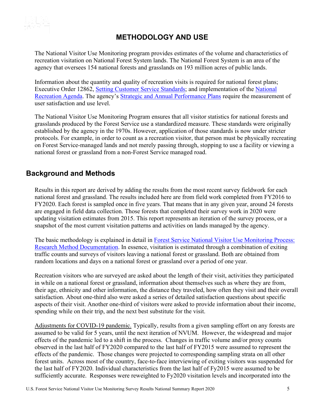<span id="page-4-0"></span>

## **METHODOLOGY AND USE**

The National Visitor Use Monitoring program provides estimates of the volume and characteristics of recreation visitation on National Forest System lands. The National Forest System is an area of the agency that oversees 154 national forests and grasslands on 193 million acres of public lands.

Information about the quantity and quality of recreation visits is required for national forest plans; Executive Order 12862, [Setting Customer Service Standards;](http://www.archives.gov/federal-register/executive-orders/pdf/12862.pdf) and implementation of the [National](https://fs.usda.gov/Internet/FSE_DOCUMENTS/fsbdev3_042754.pdf)  [Recreation Agenda.](https://fs.usda.gov/Internet/FSE_DOCUMENTS/fsbdev3_042754.pdf) The agency's [Strategic and Annual Performance Plans](http://www.fs.fed.us/plan/) require the measurement of user satisfaction and use level.

The National Visitor Use Monitoring Program ensures that all visitor statistics for national forests and grasslands produced by the Forest Service use a standardized measure. These standards were originally established by the agency in the 1970s. However, application of those standards is now under stricter protocols. For example, in order to count as a recreation visitor, that person must be physically recreating on Forest Service-managed lands and not merely passing through, stopping to use a facility or viewing a national forest or grassland from a non-Forest Service managed road.

#### <span id="page-4-1"></span>**Background and Methods**

Results in this report are derived by adding the results from the most recent survey fieldwork for each national forest and grassland. The results included here are from field work completed from FY2016 to FY2020. Each forest is sampled once in five years. That means that in any given year, around 24 forests are engaged in field data collection. Those forests that completed their survey work in 2020 were updating visitation estimates from 2015. This report represents an iteration of the survey process, or a snapshot of the most current visitation patterns and activities on lands managed by the agency.

The basic methodology is explained in detail in [Forest Service National Visitor Use Monitoring Process:](http://www.fs.fed.us/recreation/programs/nvum/)  [Research Method Documentation.](http://www.fs.fed.us/recreation/programs/nvum/) In essence, visitation is estimated through a combination of exiting traffic counts and surveys of visitors leaving a national forest or grassland. Both are obtained from random locations and days on a national forest or grassland over a period of one year.

Recreation visitors who are surveyed are asked about the length of their visit, activities they participated in while on a national forest or grassland, information about themselves such as where they are from, their age, ethnicity and other information, the distance they traveled, how often they visit and their overall satisfaction. About one-third also were asked a series of detailed satisfaction questions about specific aspects of their visit. Another one-third of visitors were asked to provide information about their income, spending while on their trip, and the next best substitute for the visit.

Adjustments for COVID-19 pandemic. Typically, results from a given sampling effort on any forests are assumed to be valid for 5 years, until the next iteration of NVUM. However, the widespread and major effects of the pandemic led to a shift in the process. Changes in traffic volume and/or proxy counts observed in the last half of FY2020 compared to the last half of FY2015 were assumed to represent the effects of the pandemic. Those changes were projected to corresponding sampling strata on all other forest units. Across most of the country, face-to-face interviewing of exiting visitors was suspended for the last half of FY2020. Individual characteristics from the last half of Fy2015 were assumed to be sufficiently accurate. Responses were reweighted to Fy2020 visitation levels and incorporated into the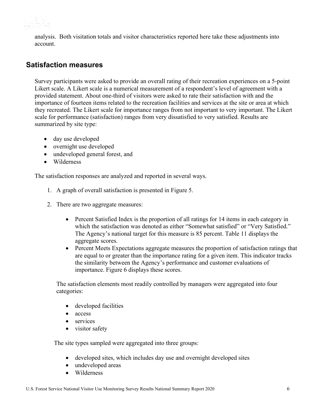

analysis. Both visitation totals and visitor characteristics reported here take these adjustments into account.

#### <span id="page-5-0"></span>**Satisfaction measures**

Survey participants were asked to provide an overall rating of their recreation experiences on a 5-point Likert scale. A Likert scale is a numerical measurement of a respondent's level of agreement with a provided statement. About one-third of visitors were asked to rate their satisfaction with and the importance of fourteen items related to the recreation facilities and services at the site or area at which they recreated. The Likert scale for importance ranges from not important to very important. The Likert scale for performance (satisfaction) ranges from very dissatisfied to very satisfied. Results are summarized by site type:

- day use developed
- overnight use developed
- undeveloped general forest, and
- Wilderness

The satisfaction responses are analyzed and reported in several ways.

- 1. A graph of overall satisfaction is presented in Figure 5.
- 2. There are two aggregate measures:
	- Percent Satisfied Index is the proportion of all ratings for 14 items in each category in which the satisfaction was denoted as either "Somewhat satisfied" or "Very Satisfied." The Agency's national target for this measure is 85 percent. Table 11 displays the aggregate scores.
	- Percent Meets Expectations aggregate measures the proportion of satisfaction ratings that are equal to or greater than the importance rating for a given item. This indicator tracks the similarity between the Agency's performance and customer evaluations of importance. Figure 6 displays these scores.

The satisfaction elements most readily controlled by managers were aggregated into four categories:

- developed facilities
- access
- services
- visitor safety

The site types sampled were aggregated into three groups:

- developed sites, which includes day use and overnight developed sites
- undeveloped areas
- Wilderness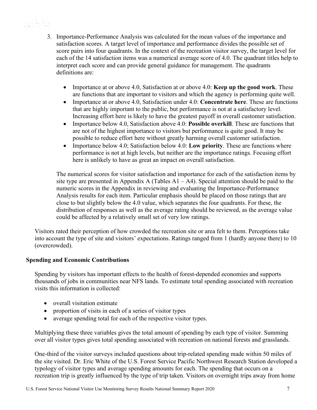

3. Importance-Performance Analysis was calculated for the mean values of the importance and satisfaction scores. A target level of importance and performance divides the possible set of score pairs into four quadrants. In the context of the recreation visitor survey, the target level for each of the 14 satisfaction items was a numerical average score of 4.0. The quadrant titles help to interpret each score and can provide general guidance for management. The quadrants definitions are:

- Importance at or above 4.0, Satisfaction at or above 4.0: **Keep up the good work**. These are functions that are important to visitors and which the agency is performing quite well.
- Importance at or above 4.0, Satisfaction under 4.0: **Concentrate here**. These are functions that are highly important to the public, but performance is not at a satisfactory level. Increasing effort here is likely to have the greatest payoff in overall customer satisfaction.
- Importance below 4.0, Satisfaction above 4.0: **Possible overkill**. These are functions that are not of the highest importance to visitors but performance is quite good. It may be possible to reduce effort here without greatly harming overall customer satisfaction.
- Importance below 4.0; Satisfaction below 4.0: **Low priority**. These are functions where performance is not at high levels, but neither are the importance ratings. Focusing effort here is unlikely to have as great an impact on overall satisfaction.

The numerical scores for visitor satisfaction and importance for each of the satisfaction items by site type are presented in Appendix A (Tables  $A1 - A4$ ). Special attention should be paid to the numeric scores in the Appendix in reviewing and evaluating the Importance-Performance Analysis results for each item. Particular emphasis should be placed on those ratings that are close to but slightly below the 4.0 value, which separates the four quadrants. For these, the distribution of responses as well as the average rating should be reviewed, as the average value could be affected by a relatively small set of very low ratings.

Visitors rated their perception of how crowded the recreation site or area felt to them. Perceptions take into account the type of site and visitors' expectations. Ratings ranged from 1 (hardly anyone there) to 10 (overcrowded).

#### <span id="page-6-0"></span>**Spending and Economic Contributions**

Spending by visitors has important effects to the health of forest-depended economies and supports thousands of jobs in communities near NFS lands. To estimate total spending associated with recreation visits this information is collected:

- overall visitation estimate
- proportion of visits in each of a series of visitor types
- average spending total for each of the respective visitor types.

Multiplying these three variables gives the total amount of spending by each type of visitor. Summing over all visitor types gives total spending associated with recreation on national forests and grasslands.

One-third of the visitor surveys included questions about trip-related spending made within 50 miles of the site visited. Dr. Eric White of the U.S. Forest Service Pacific Northwest Research Station developed a typology of visitor types and average spending amounts for each. The spending that occurs on a recreation trip is greatly influenced by the type of trip taken. Visitors on overnight trips away from home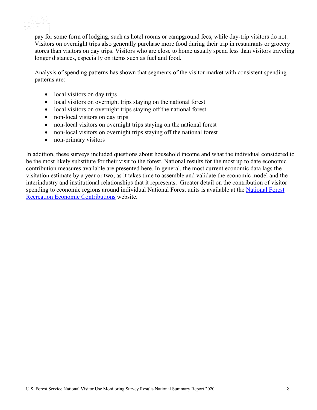

pay for some form of lodging, such as hotel rooms or campground fees, while day-trip visitors do not. Visitors on overnight trips also generally purchase more food during their trip in restaurants or grocery stores than visitors on day trips. Visitors who are close to home usually spend less than visitors traveling longer distances, especially on items such as fuel and food.

Analysis of spending patterns has shown that segments of the visitor market with consistent spending patterns are:

- local visitors on day trips
- local visitors on overnight trips staying on the national forest
- local visitors on overnight trips staying off the national forest
- non-local visitors on day trips
- non-local visitors on overnight trips staying on the national forest
- non-local visitors on overnight trips staying off the national forest
- non-primary visitors

In addition, these surveys included questions about household income and what the individual considered to be the most likely substitute for their visit to the forest. National results for the most up to date economic contribution measures available are presented here. In general, the most current economic data lags the visitation estimate by a year or two, as it takes time to assemble and validate the economic model and the interindustry and institutional relationships that it represents. Greater detail on the contribution of visitor spending to economic regions around individual National Forest units is available at the [National Forest](http://www.fs.fed.us/emc/economics/recreation-contributions/index.shtml)  [Recreation Economic Contributions](http://www.fs.fed.us/emc/economics/recreation-contributions/index.shtml) website.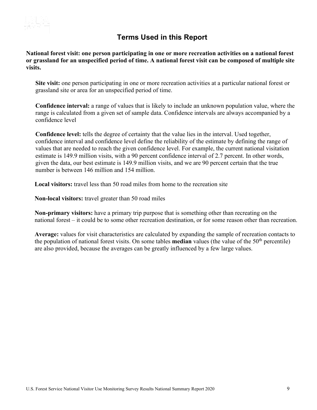

### **Terms Used in this Report**

<span id="page-8-0"></span>**National forest visit: one person participating in one or more recreation activities on a national forest or grassland for an unspecified period of time. A national forest visit can be composed of multiple site visits.**

**Site visit:** one person participating in one or more recreation activities at a particular national forest or grassland site or area for an unspecified period of time.

**Confidence interval:** a range of values that is likely to include an unknown population value, where the range is calculated from a given set of sample data. Confidence intervals are always accompanied by a confidence level

**Confidence level:** tells the degree of certainty that the value lies in the interval. Used together, confidence interval and confidence level define the reliability of the estimate by defining the range of values that are needed to reach the given confidence level. For example, the current national visitation estimate is 149.9 million visits, with a 90 percent confidence interval of 2.7 percent. In other words, given the data, our best estimate is 149.9 million visits, and we are 90 percent certain that the true number is between 146 million and 154 million.

**Local visitors:** travel less than 50 road miles from home to the recreation site

**Non-local visitors:** travel greater than 50 road miles

**Non-primary visitors:** have a primary trip purpose that is something other than recreating on the national forest – it could be to some other recreation destination, or for some reason other than recreation.

**Average:** values for visit characteristics are calculated by expanding the sample of recreation contacts to the population of national forest visits. On some tables **median** values (the value of the 50<sup>th</sup> percentile) are also provided, because the averages can be greatly influenced by a few large values.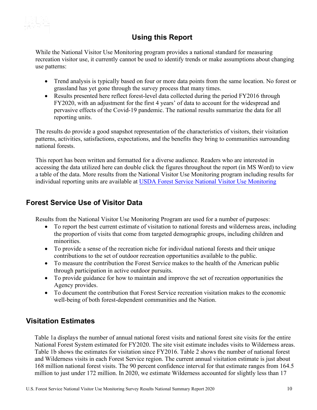

# **Using this Report**

<span id="page-9-0"></span>While the National Visitor Use Monitoring program provides a national standard for measuring recreation visitor use, it currently cannot be used to identify trends or make assumptions about changing use patterns:

- Trend analysis is typically based on four or more data points from the same location. No forest or grassland has yet gone through the survey process that many times.
- Results presented here reflect forest-level data collected during the period FY2016 through FY2020, with an adjustment for the first 4 years' of data to account for the widespread and pervasive effects of the Covid-19 pandemic. The national results summarize the data for all reporting units.

The results do provide a good snapshot representation of the characteristics of visitors, their visitation patterns, activities, satisfactions, expectations, and the benefits they bring to communities surrounding national forests.

This report has been written and formatted for a diverse audience. Readers who are interested in accessing the data utilized here can double click the figures throughout the report (in MS Word) to view a table of the data. More results from the National Visitor Use Monitoring program including results for individual reporting units are available at [USDA Forest Service National Visitor Use Monitoring](http://apps.fs.fed.us/nfs/nrm/nvum/results)

#### <span id="page-9-1"></span>**Forest Service Use of Visitor Data**

Results from the National Visitor Use Monitoring Program are used for a number of purposes:

- To report the best current estimate of visitation to national forests and wilderness areas, including the proportion of visits that come from targeted demographic groups, including children and minorities.
- To provide a sense of the recreation niche for individual national forests and their unique contributions to the set of outdoor recreation opportunities available to the public.
- To measure the contribution the Forest Service makes to the health of the American public through participation in active outdoor pursuits.
- To provide guidance for how to maintain and improve the set of recreation opportunities the Agency provides.
- To document the contribution that Forest Service recreation visitation makes to the economic well-being of both forest-dependent communities and the Nation.

### <span id="page-9-2"></span>**Visitation Estimates**

Table 1a displays the number of annual national forest visits and national forest site visits for the entire National Forest System estimated for FY2020. The site visit estimate includes visits to Wilderness areas. Table 1b shows the estimates for visitation since FY2016. Table 2 shows the number of national forest and Wilderness visits in each Forest Service region. The current annual visitation estimate is just about 168 million national forest visits. The 90 percent confidence interval for that estimate ranges from 164.5 million to just under 172 million. In 2020, we estimate Wilderness accounted for slightly less than 17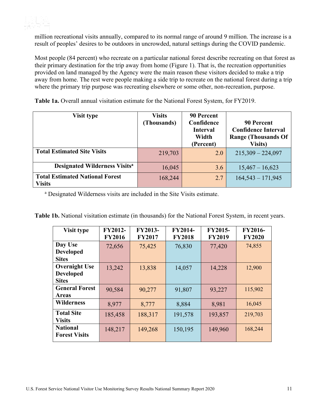

million recreational visits annually, compared to its normal range of around 9 million. The increase is a result of peoples' desires to be outdoors in uncrowded, natural settings during the COVID pandemic.

Most people (84 percent) who recreate on a particular national forest describe recreating on that forest as their primary destination for the trip away from home (Figure 1). That is, the recreation opportunities provided on land managed by the Agency were the main reason these visitors decided to make a trip away from home. The rest were people making a side trip to recreate on the national forest during a trip where the primary trip purpose was recreating elsewhere or some other, non-recreation, purpose.

<span id="page-10-0"></span>**Table 1a.** Overall annual visitation estimate for the National Forest System, for FY2019.

| Visit type                                              | <b>Visits</b><br>(Thousands) | 90 Percent<br>Confidence<br>Interval<br>Width<br>(Percent) | 90 Percent<br><b>Confidence Interval</b><br><b>Range (Thousands Of</b><br><b>Visits</b> ) |
|---------------------------------------------------------|------------------------------|------------------------------------------------------------|-------------------------------------------------------------------------------------------|
| <b>Total Estimated Site Visits</b>                      | 219,703                      | 2.0                                                        | $215,309 - 224,097$                                                                       |
| <b>Designated Wilderness Visits<sup>a</sup></b>         | 16,045                       | 3.6                                                        | $15,467 - 16,623$                                                                         |
| <b>Total Estimated National Forest</b><br><b>Visits</b> | 168,244                      | 2.7                                                        | $164,543 - 171,945$                                                                       |

<sup>a</sup> Designated Wilderness visits are included in the Site Visits estimate.

<span id="page-10-1"></span>

| <b>Visit type</b>     | <b>FY2012-</b> | <b>FY2013-</b> | <b>FY2014-</b> | <b>FY2015-</b> | <b>FY2016-</b> |
|-----------------------|----------------|----------------|----------------|----------------|----------------|
|                       | <b>FY2016</b>  | <b>FY2017</b>  | <b>FY2018</b>  | <b>FY2019</b>  | <b>FY2020</b>  |
|                       |                |                |                |                |                |
| Day Use               | 72,656         | 75,425         | 76,830         | 77,420         | 74,855         |
| <b>Developed</b>      |                |                |                |                |                |
| <b>Sites</b>          |                |                |                |                |                |
| <b>Overnight Use</b>  | 13,242         | 13,838         | 14,057         | 14,228         | 12,900         |
| <b>Developed</b>      |                |                |                |                |                |
| <b>Sites</b>          |                |                |                |                |                |
| <b>General Forest</b> | 90,584         | 90,277         | 91,807         | 93,227         | 115,902        |
| <b>Areas</b>          |                |                |                |                |                |
| <b>Wilderness</b>     | 8,977          | 8,777          | 8,884          | 8,981          | 16,045         |
| <b>Total Site</b>     | 185,458        | 188,317        | 191,578        | 193,857        | 219,703        |
| <b>Visits</b>         |                |                |                |                |                |
| <b>National</b>       | 148,217        | 149,268        | 150,195        | 149,960        | 168,244        |
| <b>Forest Visits</b>  |                |                |                |                |                |
|                       |                |                |                |                |                |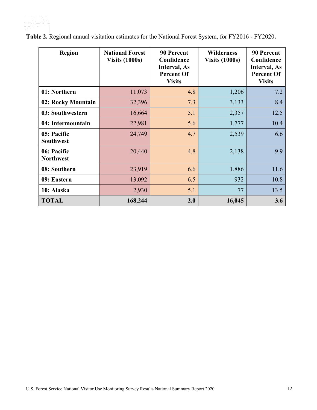

<span id="page-11-1"></span>

| <b>Region</b>                   | <b>National Forest</b><br><b>Visits (1000s)</b> | <b>90 Percent</b><br>Confidence<br><b>Interval, As</b><br><b>Percent Of</b><br><b>Visits</b> | <b>Wilderness</b><br><b>Visits (1000s)</b> | <b>90 Percent</b><br>Confidence<br><b>Interval</b> , As<br><b>Percent Of</b><br><b>Visits</b> |
|---------------------------------|-------------------------------------------------|----------------------------------------------------------------------------------------------|--------------------------------------------|-----------------------------------------------------------------------------------------------|
| 01: Northern                    | 11,073                                          | 4.8                                                                                          | 1,206                                      | 7.2                                                                                           |
| 02: Rocky Mountain              | 32,396                                          | 7.3                                                                                          | 3,133                                      | 8.4                                                                                           |
| 03: Southwestern                | 16,664                                          | 5.1                                                                                          | 2,357                                      | 12.5                                                                                          |
| 04: Intermountain               | 22,981                                          | 5.6                                                                                          | 1,777                                      | 10.4                                                                                          |
| 05: Pacific<br><b>Southwest</b> | 24,749                                          | 4.7                                                                                          | 2,539                                      | 6.6                                                                                           |
| 06: Pacific<br><b>Northwest</b> | 20,440                                          | 4.8                                                                                          | 2,138                                      | 9.9                                                                                           |
| 08: Southern                    | 23,919                                          | 6.6                                                                                          | 1,886                                      | 11.6                                                                                          |
| 09: Eastern                     | 13,092                                          | 6.5                                                                                          | 932                                        | 10.8                                                                                          |
| 10: Alaska                      | 2,930                                           | 5.1                                                                                          | 77                                         | 13.5                                                                                          |
| <b>TOTAL</b>                    | 168,244                                         | 2.0                                                                                          | 16,045                                     | 3.6                                                                                           |

<span id="page-11-0"></span>**Table 2.** Regional annual visitation estimates for the National Forest System, for FY2016 - FY2020**.**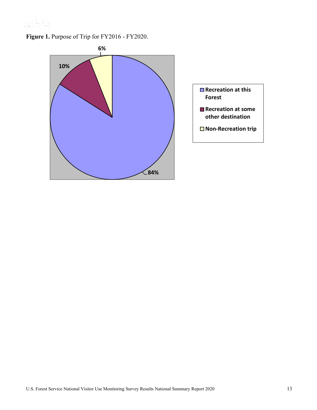

**Figure 1.** Purpose of Trip for FY2016 - FY2020.

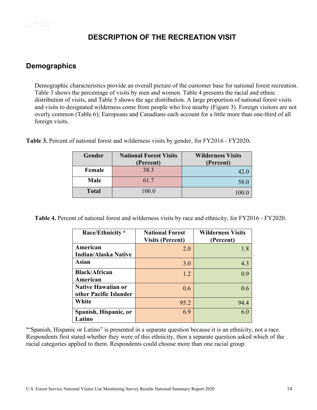<span id="page-13-0"></span>

## **DESCRIPTION OF THE RECREATION VISIT**

#### <span id="page-13-1"></span>**Demographics**

Demographic characteristics provide an overall picture of the customer base for national forest recreation. Table 3 shows the percentage of visits by men and women. Table 4 presents the racial and ethnic distribution of visits, and Table 5 shows the age distribution. A large proportion of national forest visits and visits to designated wilderness come from people who live nearby (Figure 3). Foreign visitors are not overly common (Table 6); Europeans and Canadians each account for a little more than one-third of all foreign visits.

| Gender       | <b>National Forest Visits</b> | <b>Wilderness Visits</b> |  |
|--------------|-------------------------------|--------------------------|--|
|              | (Percent)                     | (Percent)                |  |
| Female       | 38.3                          | 42.0                     |  |
| <b>Male</b>  | 61.7                          | 58.0                     |  |
| <b>Total</b> | 100.0                         | 100.0                    |  |

<span id="page-13-2"></span>**Table 3.** Percent of national forest and wilderness visits by gender, for FY2016 - FY2020**.**

<span id="page-13-3"></span>**Table 4.** Percent of national forest and wilderness visits by race and ethnicity, for FY2016 - FY2020.

| Race/Ethnicity <sup>a</sup>                  | <b>National Forest</b><br><b>Visits (Percent)</b> | <b>Wilderness Visits</b><br>(Percent) |
|----------------------------------------------|---------------------------------------------------|---------------------------------------|
| American<br><b>Indian/Alaska Native</b>      | 2.0                                               | 1.8                                   |
| Asian                                        | 3.0                                               | 4.3                                   |
| <b>Black/African</b><br>American             | 1.2                                               | 0.9                                   |
| Native Hawaiian or<br>other Pacific Islander | 0.6                                               | 0.6                                   |
| White                                        | 95.2                                              | 94.4                                  |
| Spanish, Hispanic, or<br>Latino              | 6.9                                               | 6.0                                   |

a"Spanish, Hispanic or Latino" is presented in a separate question because it is an ethnicity, not a race. Respondents first stated whether they were of this ethnicity, then a separate question asked which of the racial categories applied to them. Respondents could choose more than one racial group.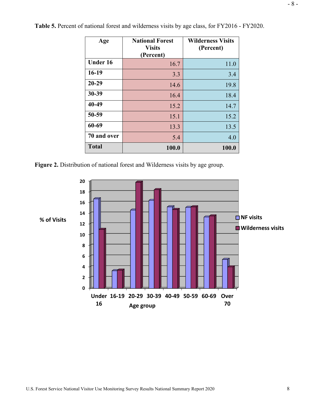| Age             | <b>National Forest</b><br><b>Visits</b><br>(Percent) | <b>Wilderness Visits</b><br>(Percent) |
|-----------------|------------------------------------------------------|---------------------------------------|
| <b>Under 16</b> | 16.7                                                 | 11.0                                  |
| 16-19           | 3.3                                                  | 3.4                                   |
| $20 - 29$       | 14.6                                                 | 19.8                                  |
| 30-39           | 16.4                                                 | 18.4                                  |
| 40-49           | 15.2                                                 | 14.7                                  |
| 50-59           | 15.1                                                 | 15.2                                  |
| 60-69           | 13.3                                                 | 13.5                                  |
| 70 and over     | 5.4                                                  | 4.0                                   |
| <b>Total</b>    | 100.0                                                | 100.0                                 |

**Table 5.** Percent of national forest and wilderness visits by age class, for FY2016 - FY2020.

**Figure 2.** Distribution of national forest and Wilderness visits by age group.

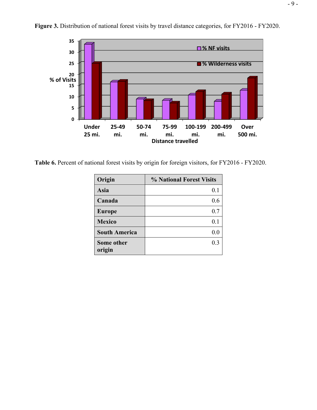

**Figure 3.** Distribution of national forest visits by travel distance categories, for FY2016 - FY2020.

**Table 6.** Percent of national forest visits by origin for foreign visitors, for FY2016 - FY2020.

| Origin               | % National Forest Visits |
|----------------------|--------------------------|
| Asia                 | 0.1                      |
| Canada               | 0.6                      |
| <b>Europe</b>        | 0.7                      |
| <b>Mexico</b>        | 0.1                      |
| <b>South America</b> | 0.0                      |
| Some other           | 0.3                      |
| origin               |                          |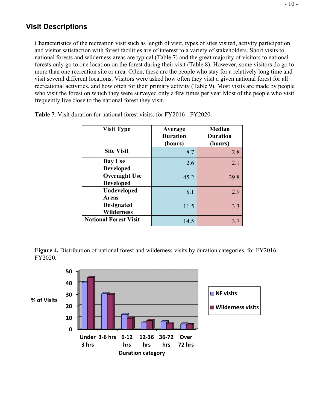#### <span id="page-16-0"></span>**Visit Descriptions**

Characteristics of the recreation visit such as length of visit, types of sites visited, activity participation and visitor satisfaction with forest facilities are of interest to a variety of stakeholders. Short visits to national forests and wilderness areas are typical (Table 7) and the great majority of visitors to national forests only go to one location on the forest during their visit (Table 8). However, some visitors do go to more than one recreation site or area. Often, these are the people who stay for a relatively long time and visit several different locations. Visitors were asked how often they visit a given national forest for all recreational activities, and how often for their primary activity (Table 9). Most visits are made by people who visit the forest on which they were surveyed only a few times per year Most of the people who visit frequently live close to the national forest they visit.

| <b>Visit Type</b>                        | Average<br><b>Duration</b><br>(hours) | <b>Median</b><br><b>Duration</b><br>(hours) |
|------------------------------------------|---------------------------------------|---------------------------------------------|
| <b>Site Visit</b>                        | 8.7                                   | 2.8                                         |
| Day Use<br><b>Developed</b>              | 2.6                                   | 2.1                                         |
| <b>Overnight Use</b><br><b>Developed</b> | 45.2                                  | 39.8                                        |
| <b>Undeveloped</b><br><b>Areas</b>       | 8.1                                   | 2.9                                         |
| <b>Designated</b><br><b>Wilderness</b>   | 11.5                                  | 3.3                                         |
| <b>National Forest Visit</b>             | 14.5                                  | 3.7                                         |

**Table 7**. Visit duration for national forest visits, for FY2016 - FY2020.

**Figure 4.** Distribution of national forest and wilderness visits by duration categories, for FY2016 - FY2020.

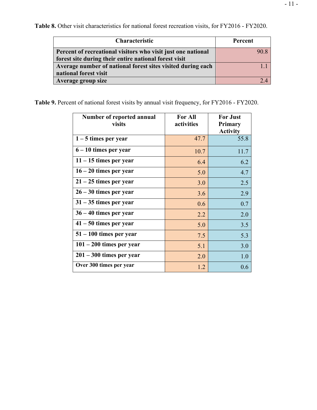| <b>Characteristic</b>                                        | Percent |
|--------------------------------------------------------------|---------|
| Percent of recreational visitors who visit just one national | 90.8    |
| forest site during their entire national forest visit        |         |
| Average number of national forest sites visited during each  |         |
| national forest visit                                        |         |
| Average group size                                           |         |

**Table 8.** Other visit characteristics for national forest recreation visits, for FY2016 - FY2020.

**Table 9.** Percent of national forest visits by annual visit frequency, for FY2016 - FY2020.

| Number of reported annual<br>visits | <b>For All</b><br>activities | <b>For Just</b><br>Primary<br><b>Activity</b> |
|-------------------------------------|------------------------------|-----------------------------------------------|
| $1 - 5$ times per year              | 47.7                         | 55.8                                          |
| $6 - 10$ times per year             | 10.7                         | 11.7                                          |
| $11 - 15$ times per year            | 6.4                          | 6.2                                           |
| $16 - 20$ times per year            | 5.0                          | 4.7                                           |
| $21 - 25$ times per year            | 3.0                          | 2.5                                           |
| $26 - 30$ times per year            | 3.6                          | 2.9                                           |
| $31 - 35$ times per year            | 0.6                          | 0.7                                           |
| $36 - 40$ times per year            | 2.2                          | 2.0                                           |
| $41 - 50$ times per year            | 5.0                          | 3.5                                           |
| $51 - 100$ times per year           | 7.5                          | 5.3                                           |
| $101 - 200$ times per year          | 5.1                          | 3.0                                           |
| $201 - 300$ times per year          | 2.0                          | 1.0                                           |
| Over 300 times per year             | 1.2                          | 0.6                                           |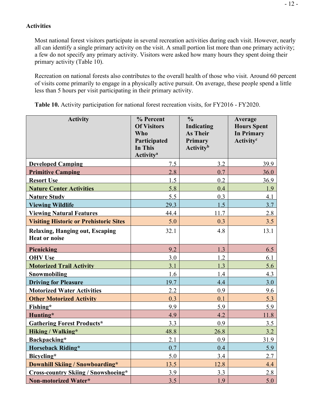#### <span id="page-18-0"></span>**Activities**

Most national forest visitors participate in several recreation activities during each visit. However, nearly all can identify a single primary activity on the visit. A small portion list more than one primary activity; a few do not specify any primary activity. Visitors were asked how many hours they spent doing their primary activity (Table 10).

Recreation on national forests also contributes to the overall health of those who visit. Around 60 percent of visits come primarily to engage in a physically active pursuit. On average, these people spend a little less than 5 hours per visit participating in their primary activity.

| <b>Activity</b>                                                | % Percent<br><b>Of Visitors</b><br><b>Who</b><br>Participated<br>In This<br><b>Activity<sup>a</sup></b> | $\frac{0}{0}$<br><b>Indicating</b><br><b>As Their</b><br>Primary<br><b>Activity</b> <sup>b</sup> | Average<br><b>Hours Spent</b><br><b>In Primary</b><br>Activity <sup>c</sup> |
|----------------------------------------------------------------|---------------------------------------------------------------------------------------------------------|--------------------------------------------------------------------------------------------------|-----------------------------------------------------------------------------|
| <b>Developed Camping</b>                                       | 7.5                                                                                                     | 3.2                                                                                              | 39.9                                                                        |
| <b>Primitive Camping</b>                                       | 2.8                                                                                                     | 0.7                                                                                              | 36.0                                                                        |
| <b>Resort Use</b>                                              | 1.5                                                                                                     | 0.2                                                                                              | 36.9                                                                        |
| <b>Nature Center Activities</b>                                | 5.8                                                                                                     | 0.4                                                                                              | 1.9                                                                         |
| <b>Nature Study</b>                                            | 5.5                                                                                                     | 0.3                                                                                              | 4.1                                                                         |
| <b>Viewing Wildlife</b>                                        | 29.3                                                                                                    | 1.5                                                                                              | 3.7                                                                         |
| <b>Viewing Natural Features</b>                                | 44.4                                                                                                    | 11.7                                                                                             | 2.8                                                                         |
| <b>Visiting Historic or Prehistoric Sites</b>                  | 5.0                                                                                                     | 0.3                                                                                              | 3.5                                                                         |
| <b>Relaxing, Hanging out, Escaping</b><br><b>Heat or noise</b> | 32.1                                                                                                    | 4.8                                                                                              | 13.1                                                                        |
| <b>Picnicking</b>                                              | 9.2                                                                                                     | 1.3                                                                                              | 6.5                                                                         |
| <b>OHV</b> Use                                                 | 3.0                                                                                                     | 1.2                                                                                              | 6.1                                                                         |
| <b>Motorized Trail Activity</b>                                | 3.1                                                                                                     | 1.3                                                                                              | 5.6                                                                         |
| Snowmobiling                                                   | 1.6                                                                                                     | 1.4                                                                                              | 4.3                                                                         |
| <b>Driving for Pleasure</b>                                    | 19.7                                                                                                    | 4.4                                                                                              | 3.0                                                                         |
| <b>Motorized Water Activities</b>                              | 2.2                                                                                                     | 0.9                                                                                              | 9.6                                                                         |
| <b>Other Motorized Activity</b>                                | 0.3                                                                                                     | 0.1                                                                                              | 5.3                                                                         |
| Fishing*                                                       | 9.9                                                                                                     | 5.9                                                                                              | 5.9                                                                         |
| Hunting*                                                       | 4.9                                                                                                     | 4.2                                                                                              | 11.8                                                                        |
| <b>Gathering Forest Products*</b>                              | 3.3                                                                                                     | 0.9                                                                                              | 3.5                                                                         |
| Hiking / Walking*                                              | 48.8                                                                                                    | 26.8                                                                                             | 3.2                                                                         |
| Backpacking*                                                   | 2.1                                                                                                     | 0.9                                                                                              | 31.9                                                                        |
| <b>Horseback Riding*</b>                                       | 0.7                                                                                                     | 0.4                                                                                              | 5.9                                                                         |
| Bicycling*                                                     | 5.0                                                                                                     | 3.4                                                                                              | 2.7                                                                         |
| Downhill Skiing / Snowboarding*                                | 13.5                                                                                                    | 12.8                                                                                             | 4.4                                                                         |
| <b>Cross-country Skiing / Snowshoeing*</b>                     | 3.9                                                                                                     | 3.3                                                                                              | 2.8                                                                         |
| Non-motorized Water*                                           | 3.5                                                                                                     | 1.9                                                                                              | 5.0                                                                         |

**Table 10.** Activity participation for national forest recreation visits, for FY2016 - FY2020.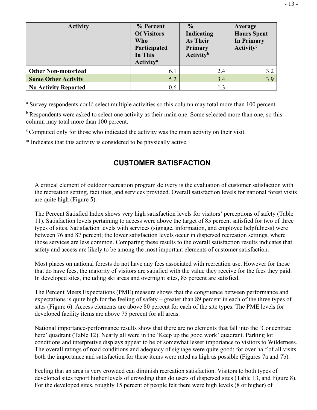| <b>Activity</b>             | % Percent<br><b>Of Visitors</b><br>Who<br>Participated<br>In This<br><b>Activity<sup>a</sup></b> | $\frac{0}{0}$<br><b>Indicating</b><br><b>As Their</b><br><b>Primary</b><br><b>Activity</b> <sup>b</sup> | Average<br><b>Hours Spent</b><br><b>In Primary</b><br>Activity <sup>c</sup> |
|-----------------------------|--------------------------------------------------------------------------------------------------|---------------------------------------------------------------------------------------------------------|-----------------------------------------------------------------------------|
| <b>Other Non-motorized</b>  | 6.1                                                                                              | 2.4                                                                                                     | 3.2                                                                         |
| <b>Some Other Activity</b>  | 5.2                                                                                              | 3.4                                                                                                     | 3.9                                                                         |
| <b>No Activity Reported</b> | 0.6                                                                                              | 1.3                                                                                                     |                                                                             |

<sup>a</sup> Survey respondents could select multiple activities so this column may total more than 100 percent.

<sup>b</sup> Respondents were asked to select one activity as their main one. Some selected more than one, so this column may total more than 100 percent.

<sup>c</sup> Computed only for those who indicated the activity was the main activity on their visit.

<span id="page-19-0"></span>\* Indicates that this activity is considered to be physically active.

## **CUSTOMER SATISFACTION**

A critical element of outdoor recreation program delivery is the evaluation of customer satisfaction with the recreation setting, facilities, and services provided. Overall satisfaction levels for national forest visits are quite high (Figure 5).

The Percent Satisfied Index shows very high satisfaction levels for visitors' perceptions of safety (Table 11). Satisfaction levels pertaining to access were above the target of 85 percent satisfied for two of three types of sites. Satisfaction levels with services (signage, information, and employee helpfulness) were between 76 and 87 percent; the lower satisfaction levels occur in dispersed recreation settings, where those services are less common. Comparing these results to the overall satisfaction results indicates that safety and access are likely to be among the most important elements of customer satisfaction.

Most places on national forests do not have any fees associated with recreation use. However for those that do have fees, the majority of visitors are satisfied with the value they receive for the fees they paid. In developed sites, including ski areas and overnight sites, 85 percent are satisfied.

The Percent Meets Expectations (PME) measure shows that the congruence between performance and expectations is quite high for the feeling of safety – greater than 89 percent in each of the three types of sites (Figure 6). Access elements are above 80 percent for each of the site types. The PME levels for developed facility items are above 75 percent for all areas.

National importance-performance results show that there are no elements that fall into the 'Concentrate here' quadrant (Table 12). Nearly all were in the 'Keep up the good work' quadrant. Parking lot conditions and interpretive displays appear to be of somewhat lesser importance to visitors to Wilderness. The overall ratings of road conditions and adequacy of signage were quite good: for over half of all visits both the importance and satisfaction for these items were rated as high as possible (Figures 7a and 7b).

Feeling that an area is very crowded can diminish recreation satisfaction. Visitors to both types of developed sites report higher levels of crowding than do users of dispersed sites (Table 13, and Figure 8). For the developed sites, roughly 15 percent of people felt there were high levels (8 or higher) of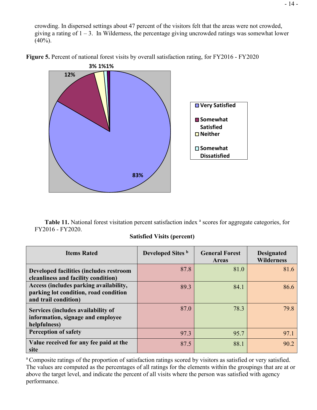crowding. In dispersed settings about 47 percent of the visitors felt that the areas were not crowded, giving a rating of  $1 - 3$ . In Wilderness, the percentage giving uncrowded ratings was somewhat lower  $(40\%)$ .



**Figure 5.** Percent of national forest visits by overall satisfaction rating, for FY2016 - FY2020

**Table 11.** National forest visitation percent satisfaction index <sup>a</sup> scores for aggregate categories, for FY2016 - FY2020.

#### **Satisfied Visits (percent)**

| <b>Items Rated</b>                                                                                      | Developed Sites b | <b>General Forest</b><br>Areas | <b>Designated</b><br><b>Wilderness</b> |
|---------------------------------------------------------------------------------------------------------|-------------------|--------------------------------|----------------------------------------|
| Developed facilities (includes restroom<br>cleanliness and facility condition)                          | 87.8              | 81.0                           | 81.6                                   |
| Access (includes parking availability,<br>parking lot condition, road condition<br>and trail condition) | 89.3              | 84.1                           | 86.6                                   |
| Services (includes availability of<br>information, signage and employee<br>helpfulness)                 | 87.0              | 78.3                           | 79.8                                   |
| <b>Perception of safety</b>                                                                             | 97.3              | 95.7                           | 97.1                                   |
| Value received for any fee paid at the<br>site                                                          | 87.5              | 88.1                           | 90.2                                   |

<sup>a</sup> Composite ratings of the proportion of satisfaction ratings scored by visitors as satisfied or very satisfied. The values are computed as the percentages of all ratings for the elements within the groupings that are at or above the target level, and indicate the percent of all visits where the person was satisfied with agency performance.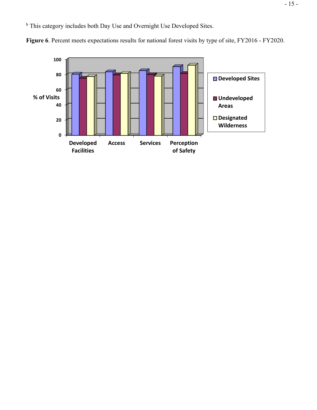<sup>b</sup> This category includes both Day Use and Overnight Use Developed Sites.



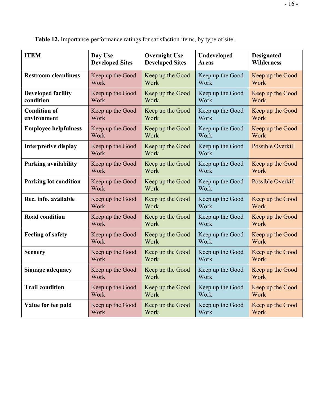| <b>ITEM</b>                  | Day Use                  | <b>Overnight Use</b>     | Undeveloped              | <b>Designated</b> |
|------------------------------|--------------------------|--------------------------|--------------------------|-------------------|
|                              | <b>Developed Sites</b>   | <b>Developed Sites</b>   | <b>Areas</b>             | <b>Wilderness</b> |
| <b>Restroom cleanliness</b>  | Keep up the Good         | Keep up the Good         | Keep up the Good         | Keep up the Good  |
|                              | Work                     | Work                     | Work                     | Work              |
| <b>Developed facility</b>    | Keep up the Good         | Keep up the Good         | Keep up the Good         | Keep up the Good  |
| condition                    | Work                     | Work                     | Work                     | Work              |
| <b>Condition of</b>          | Keep up the Good         | Keep up the Good         | Keep up the Good         | Keep up the Good  |
| environment                  | Work                     | Work                     | Work                     | Work              |
| <b>Employee helpfulness</b>  | Keep up the Good         | Keep up the Good         | Keep up the Good         | Keep up the Good  |
|                              | Work                     | Work                     | Work                     | Work              |
| <b>Interpretive display</b>  | Keep up the Good<br>Work | Keep up the Good<br>Work | Keep up the Good<br>Work | Possible Overkill |
| <b>Parking availability</b>  | Keep up the Good         | Keep up the Good         | Keep up the Good         | Keep up the Good  |
|                              | Work                     | Work                     | Work                     | Work              |
| <b>Parking lot condition</b> | Keep up the Good<br>Work | Keep up the Good<br>Work | Keep up the Good<br>Work | Possible Overkill |
| Rec. info. available         | Keep up the Good         | Keep up the Good         | Keep up the Good         | Keep up the Good  |
|                              | Work                     | Work                     | Work                     | Work              |
| <b>Road condition</b>        | Keep up the Good         | Keep up the Good         | Keep up the Good         | Keep up the Good  |
|                              | Work                     | Work                     | Work                     | Work              |
| <b>Feeling of safety</b>     | Keep up the Good         | Keep up the Good         | Keep up the Good         | Keep up the Good  |
|                              | Work                     | Work                     | Work                     | Work              |
| <b>Scenery</b>               | Keep up the Good         | Keep up the Good         | Keep up the Good         | Keep up the Good  |
|                              | Work                     | Work                     | Work                     | Work              |
| Signage adequacy             | Keep up the Good         | Keep up the Good         | Keep up the Good         | Keep up the Good  |
|                              | Work                     | Work                     | Work                     | Work              |
| <b>Trail condition</b>       | Keep up the Good         | Keep up the Good         | Keep up the Good         | Keep up the Good  |
|                              | Work                     | Work                     | Work                     | Work              |
| Value for fee paid           | Keep up the Good         | Keep up the Good         | Keep up the Good         | Keep up the Good  |
|                              | Work                     | Work                     | Work                     | Work              |

**Table 12.** Importance-performance ratings for satisfaction items, by type of site.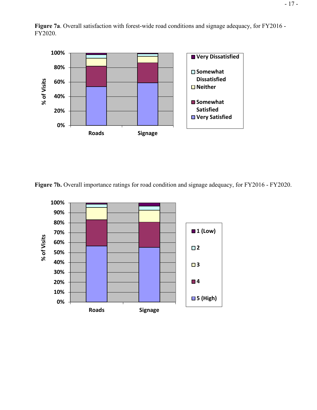

**Figure 7a**. Overall satisfaction with forest-wide road conditions and signage adequacy, for FY2016 - FY2020.

**Figure 7b.** Overall importance ratings for road condition and signage adequacy, for FY2016 - FY2020.

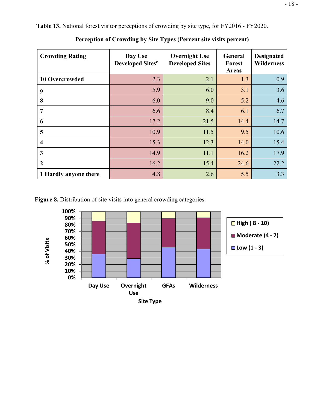**Crowding Rating Day Use Developed Sites<sup>c</sup> Overnight Use Developed Sites General Forest Areas Designated Wilderness 10 Overcrowded** 2.3 2.1 1.3 0.9 **9** 5.9 6.0 3.1 3.6 **8 6.0 6.0 9.0 5.2 4.6 7 6.6 6.6 8.4 6.1 6.7 6** 17.2 21.5 14.4 14.7 **5** 10.9 10.9 11.5 **9.5** 10.6 **4** 15.3 12.3 14.0 15.4 **3** 14.9 11.1 16.2 17.9 **2** 16.2 16.2 15.4 24.6 22.2 **1 Hardly anyone there 1.8 1.8 1.8 1.8 1.8 1.8 1.8 1.8 1.8 1.8 1.8 1.8 1.8 1.8 1.8 1.8 1.8 1.8 1.8 1.8 1.8 1.8 1.8 1.8 1.8 1.8 1.8 1.8 1.8 1.8 1.8 1.8 1.8**

**Table 13.** National forest visitor perceptions of crowding by site type, for FY2016 - FY2020.

**Perception of Crowding by Site Types (Percent site visits percent)**

**Figure 8.** Distribution of site visits into general crowding categories.

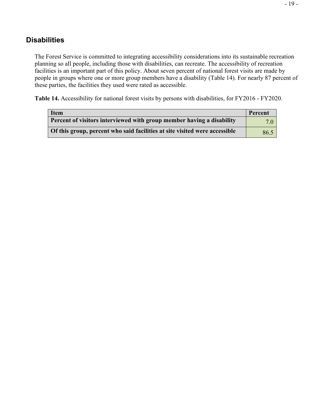#### <span id="page-25-0"></span>**Disabilities**

The Forest Service is committed to integrating accessibility considerations into its sustainable recreation planning so all people, including those with disabilities, can recreate. The accessibility of recreation facilities is an important part of this policy. About seven percent of national forest visits are made by people in groups where one or more group members have a disability (Table 14). For nearly 87 percent of these parties, the facilities they used were rated as accessible.

**Table 14.** Accessibility for national forest visits by persons with disabilities, for FY2016 - FY2020.

| <b>Item</b>                                                                | Percent |
|----------------------------------------------------------------------------|---------|
| Percent of visitors interviewed with group member having a disability      | 70      |
| Of this group, percent who said facilities at site visited were accessible | 86.5    |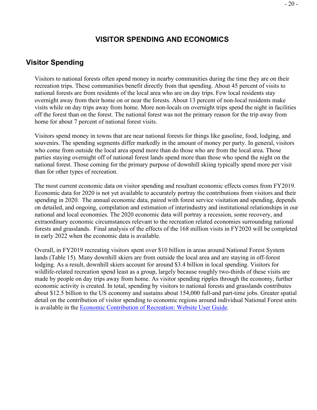#### **VISITOR SPENDING AND ECONOMICS**

#### <span id="page-26-1"></span><span id="page-26-0"></span>**Visitor Spending**

Visitors to national forests often spend money in nearby communities during the time they are on their recreation trips. These communities benefit directly from that spending. About 45 percent of visits to national forests are from residents of the local area who are on day trips. Few local residents stay overnight away from their home on or near the forests. About 13 percent of non-local residents make visits while on day trips away from home. More non-locals on overnight trips spend the night in facilities off the forest than on the forest. The national forest was not the primary reason for the trip away from home for about 7 percent of national forest visits.

Visitors spend money in towns that are near national forests for things like gasoline, food, lodging, and souvenirs. The spending segments differ markedly in the amount of money per party. In general, visitors who come from outside the local area spend more than do those who are from the local area. Those parties staying overnight off of national forest lands spend more than those who spend the night on the national forest. Those coming for the primary purpose of downhill skiing typically spend more per visit than for other types of recreation.

The most current economic data on visitor spending and resultant economic effects comes from FY2019. Economic data for 2020 is not yet available to accurately portray the contributions from visitors and their spending in 2020. The annual economic data, paired with forest service visitation and spending, depends on detailed, and ongoing, compilation and estimation of interindustry and institutional relationships in our national and local economies. The 2020 economic data will portray a recession, some recovery, and extraordinary economic circumstances relevant to the recreation related economies surrounding national forests and grasslands. Final analysis of the effects of the 168 million visits in FY2020 will be completed in early 2022 when the economic data is available.

Overall, in FY2019 recreating visitors spent over \$10 billion in areas around National Forest System lands (Table 15). Many downhill skiers are from outside the local area and are staying in off-forest lodging. As a result, downhill skiers account for around \$3.4 billion in local spending. Visitors for wildlife-related recreation spend least as a group, largely because roughly two-thirds of these visits are made by people on day trips away from home. As visitor spending ripples through the economy, further economic activity is created. In total, spending by visitors to national forests and grasslands contributes about \$12.5 billion to the US economy and sustains about 154,000 full-and part-time jobs. Greater spatial detail on the contribution of visitor spending to economic regions around individual National Forest units is available in the [Economic Contribution of Recreation: Website User Guide.](http://www.fs.fed.us/emc/economics/recreation-contributions/documents/RecreationContributionsWebsiteGuide20150205.pdf)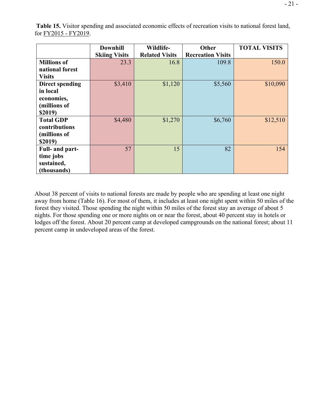|                        | <b>Downhill</b>      | Wildlife-             | Other                    | <b>TOTAL VISITS</b> |
|------------------------|----------------------|-----------------------|--------------------------|---------------------|
|                        | <b>Skiing Visits</b> | <b>Related Visits</b> | <b>Recreation Visits</b> |                     |
| <b>Millions of</b>     | 23.3                 | 16.8                  | 109.8                    | 150.0               |
| national forest        |                      |                       |                          |                     |
| <b>Visits</b>          |                      |                       |                          |                     |
| <b>Direct spending</b> | \$3,410              | \$1,120               | \$5,560                  | \$10,090            |
| in local               |                      |                       |                          |                     |
| economies,             |                      |                       |                          |                     |
| (millions of           |                      |                       |                          |                     |
| \$2019)                |                      |                       |                          |                     |
| <b>Total GDP</b>       | \$4,480              | \$1,270               | \$6,760                  | \$12,510            |
| contributions          |                      |                       |                          |                     |
| (millions of           |                      |                       |                          |                     |
| \$2019)                |                      |                       |                          |                     |
| Full- and part-        | 57                   | 15                    | 82                       | 154                 |
| time jobs              |                      |                       |                          |                     |
| sustained,             |                      |                       |                          |                     |

**Table 15.** Visitor spending and associated economic effects of recreation visits to national forest land, for FY2015 - FY2019.

About 38 percent of visits to national forests are made by people who are spending at least one night away from home (Table 16). For most of them, it includes at least one night spent within 50 miles of the forest they visited. Those spending the night within 50 miles of the forest stay an average of about 5 nights. For those spending one or more nights on or near the forest, about 40 percent stay in hotels or lodges off the forest. About 20 percent camp at developed campgrounds on the national forest; about 11 percent camp in undeveloped areas of the forest.

**(thousands)**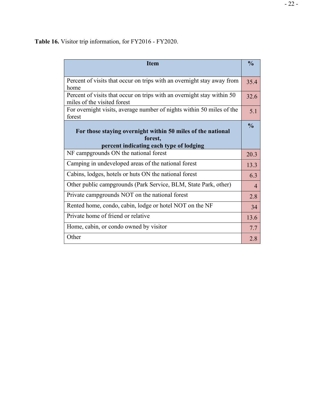**Table 16.** Visitor trip information, for FY2016 - FY2020.

| <b>Item</b>                                                                                                       | $\frac{0}{0}$  |
|-------------------------------------------------------------------------------------------------------------------|----------------|
| Percent of visits that occur on trips with an overnight stay away from<br>home                                    | 35.4           |
| Percent of visits that occur on trips with an overnight stay within 50<br>miles of the visited forest             | 32.6           |
| For overnight visits, average number of nights within 50 miles of the<br>forest                                   | 5.1            |
| For those staying overnight within 50 miles of the national<br>forest,<br>percent indicating each type of lodging | $\frac{0}{0}$  |
| NF campgrounds ON the national forest                                                                             | 20.3           |
| Camping in undeveloped areas of the national forest                                                               | 13.3           |
| Cabins, lodges, hotels or huts ON the national forest                                                             | 6.3            |
| Other public campgrounds (Park Service, BLM, State Park, other)                                                   | $\overline{4}$ |
| Private campgrounds NOT on the national forest                                                                    | 2.8            |
| Rented home, condo, cabin, lodge or hotel NOT on the NF                                                           | 34             |
| Private home of friend or relative                                                                                | 13.6           |
| Home, cabin, or condo owned by visitor                                                                            | 7.7            |
| Other                                                                                                             | 2.8            |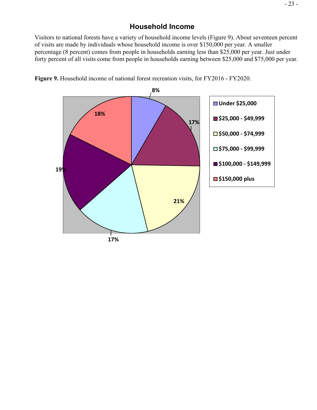## **Household Income**

<span id="page-29-0"></span>Visitors to national forests have a variety of household income levels (Figure 9). About seventeen percent of visits are made by individuals whose household income is over \$150,000 per year. A smaller percentage (8 percent) comes from people in households earning less than \$25,000 per year. Just under forty percent of all visits come from people in households earning between \$25,000 and \$75,000 per year.



**Figure 9.** Household income of national forest recreation visits, for FY2016 - FY2020.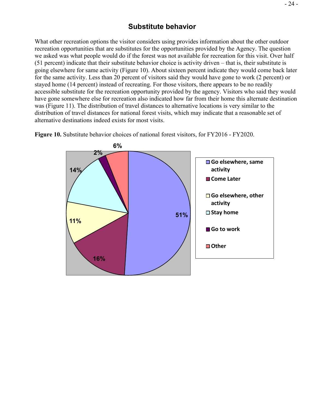#### **Substitute behavior**

<span id="page-30-0"></span>What other recreation options the visitor considers using provides information about the other outdoor recreation opportunities that are substitutes for the opportunities provided by the Agency. The question we asked was what people would do if the forest was not available for recreation for this visit. Over half (51 percent) indicate that their substitute behavior choice is activity driven – that is, their substitute is going elsewhere for same activity (Figure 10). About sixteen percent indicate they would come back later for the same activity. Less than 20 percent of visitors said they would have gone to work (2 percent) or stayed home (14 percent) instead of recreating. For those visitors, there appears to be no readily accessible substitute for the recreation opportunity provided by the agency. Visitors who said they would have gone somewhere else for recreation also indicated how far from their home this alternate destination was (Figure 11). The distribution of travel distances to alternative locations is very similar to the distribution of travel distances for national forest visits, which may indicate that a reasonable set of alternative destinations indeed exists for most visits.



**Figure 10.** Substitute behavior choices of national forest visitors, for FY2016 - FY2020.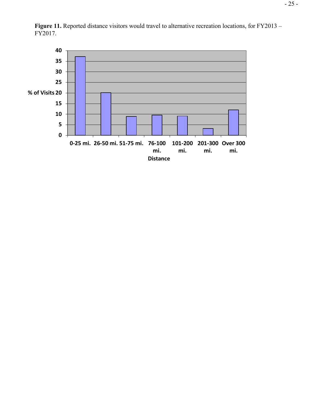

Figure 11. Reported distance visitors would travel to alternative recreation locations, for FY2013 – FY2017.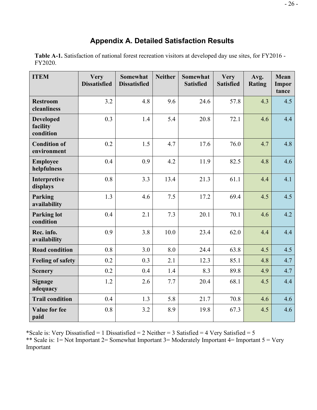# **Appendix A. Detailed Satisfaction Results**

<span id="page-32-0"></span>**Table A-1.** Satisfaction of national forest recreation visitors at developed day use sites, for FY2016 - FY2020.

| <b>ITEM</b>                               | <b>Very</b><br><b>Dissatisfied</b> | <b>Somewhat</b><br><b>Dissatisfied</b> | <b>Neither</b> | <b>Somewhat</b><br><b>Satisfied</b> | <b>Very</b><br><b>Satisfied</b> | Avg.<br><b>Rating</b> | Mean<br><b>Impor</b><br>tance |
|-------------------------------------------|------------------------------------|----------------------------------------|----------------|-------------------------------------|---------------------------------|-----------------------|-------------------------------|
| <b>Restroom</b><br>cleanliness            | 3.2                                | 4.8                                    | 9.6            | 24.6                                | 57.8                            | 4.3                   | 4.5                           |
| <b>Developed</b><br>facility<br>condition | 0.3                                | 1.4                                    | 5.4            | 20.8                                | 72.1                            | 4.6                   | 4.4                           |
| <b>Condition of</b><br>environment        | 0.2                                | 1.5                                    | 4.7            | 17.6                                | 76.0                            | 4.7                   | 4.8                           |
| <b>Employee</b><br>helpfulness            | 0.4                                | 0.9                                    | 4.2            | 11.9                                | 82.5                            | 4.8                   | 4.6                           |
| Interpretive<br>displays                  | 0.8                                | 3.3                                    | 13.4           | 21.3                                | 61.1                            | 4.4                   | 4.1                           |
| Parking<br>availability                   | 1.3                                | 4.6                                    | 7.5            | 17.2                                | 69.4                            | 4.5                   | 4.5                           |
| <b>Parking lot</b><br>condition           | 0.4                                | 2.1                                    | 7.3            | 20.1                                | 70.1                            | 4.6                   | 4.2                           |
| Rec. info.<br>availability                | 0.9                                | 3.8                                    | 10.0           | 23.4                                | 62.0                            | 4.4                   | 4.4                           |
| <b>Road condition</b>                     | 0.8                                | 3.0                                    | 8.0            | 24.4                                | 63.8                            | 4.5                   | 4.5                           |
| <b>Feeling of safety</b>                  | 0.2                                | 0.3                                    | 2.1            | 12.3                                | 85.1                            | 4.8                   | 4.7                           |
| <b>Scenery</b>                            | 0.2                                | 0.4                                    | 1.4            | 8.3                                 | 89.8                            | 4.9                   | 4.7                           |
| <b>Signage</b><br>adequacy                | 1.2                                | 2.6                                    | 7.7            | 20.4                                | 68.1                            | 4.5                   | 4.4                           |
| <b>Trail condition</b>                    | 0.4                                | 1.3                                    | 5.8            | 21.7                                | 70.8                            | 4.6                   | 4.6                           |
| <b>Value for fee</b><br>paid              | 0.8                                | 3.2                                    | 8.9            | 19.8                                | 67.3                            | 4.5                   | 4.6                           |

\*Scale is: Very Dissatisfied = 1 Dissatisfied = 2 Neither = 3 Satisfied = 4 Very Satisfied = 5 \*\* Scale is: 1 = Not Important 2 = Somewhat Important 3 = Moderately Important 4 = Important 5 = Very Important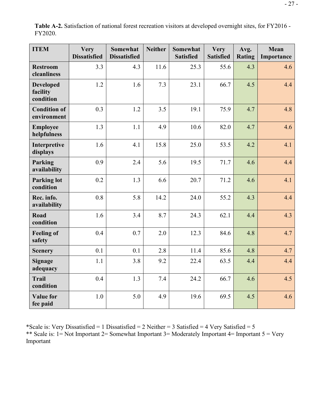| <b>ITEM</b>                               | <b>Very</b><br><b>Dissatisfied</b> | Somewhat<br><b>Dissatisfied</b> | <b>Neither</b> | Somewhat<br><b>Satisfied</b> | <b>Very</b><br><b>Satisfied</b> | Avg.<br><b>Rating</b> | Mean<br>Importance |
|-------------------------------------------|------------------------------------|---------------------------------|----------------|------------------------------|---------------------------------|-----------------------|--------------------|
| <b>Restroom</b><br>cleanliness            | 3.3                                | 4.3                             | 11.6           | 25.3                         | 55.6                            | 4.3                   | 4.6                |
| <b>Developed</b><br>facility<br>condition | 1.2                                | 1.6                             | 7.3            | 23.1                         | 66.7                            | 4.5                   | 4.4                |
| <b>Condition of</b><br>environment        | 0.3                                | 1.2                             | 3.5            | 19.1                         | 75.9                            | 4.7                   | 4.8                |
| <b>Employee</b><br>helpfulness            | 1.3                                | 1.1                             | 4.9            | 10.6                         | 82.0                            | 4.7                   | 4.6                |
| Interpretive<br>displays                  | 1.6                                | 4.1                             | 15.8           | 25.0                         | 53.5                            | 4.2                   | 4.1                |
| Parking<br>availability                   | 0.9                                | 2.4                             | 5.6            | 19.5                         | 71.7                            | 4.6                   | 4.4                |
| <b>Parking lot</b><br>condition           | 0.2                                | 1.3                             | 6.6            | 20.7                         | 71.2                            | 4.6                   | 4.1                |
| Rec. info.<br>availability                | 0.8                                | 5.8                             | 14.2           | 24.0                         | 55.2                            | 4.3                   | 4.4                |
| Road<br>condition                         | 1.6                                | 3.4                             | 8.7            | 24.3                         | 62.1                            | 4.4                   | 4.3                |
| <b>Feeling of</b><br>safety               | 0.4                                | 0.7                             | 2.0            | 12.3                         | 84.6                            | 4.8                   | 4.7                |
| <b>Scenery</b>                            | 0.1                                | 0.1                             | 2.8            | 11.4                         | 85.6                            | 4.8                   | 4.7                |
| <b>Signage</b><br>adequacy                | 1.1                                | 3.8                             | 9.2            | 22.4                         | 63.5                            | 4.4                   | 4.4                |
| <b>Trail</b><br>condition                 | 0.4                                | 1.3                             | 7.4            | 24.2                         | 66.7                            | 4.6                   | 4.5                |
| <b>Value for</b><br>fee paid              | 1.0                                | 5.0                             | 4.9            | 19.6                         | 69.5                            | 4.5                   | 4.6                |

**Table A-2.** Satisfaction of national forest recreation visitors at developed overnight sites, for FY2016 - FY2020.

\*Scale is: Very Dissatisfied = 1 Dissatisfied = 2 Neither = 3 Satisfied = 4 Very Satisfied = 5 \*\* Scale is: 1 = Not Important 2 = Somewhat Important 3 = Moderately Important 4 = Important 5 = Very Important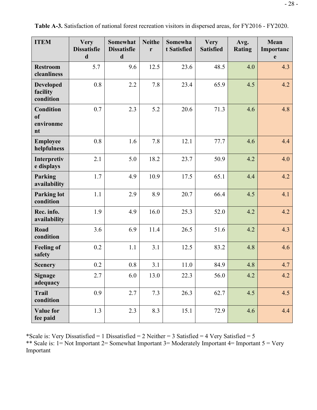| <b>ITEM</b>                                          | <b>Very</b><br><b>Dissatisfie</b><br>$\mathbf d$ | <b>Somewhat</b><br><b>Dissatisfie</b><br>$\mathbf d$ | <b>Neithe</b><br>r | Somewha<br>t Satisfied | <b>Very</b><br><b>Satisfied</b> | Avg.<br><b>Rating</b> | Mean<br>Importanc<br>e |
|------------------------------------------------------|--------------------------------------------------|------------------------------------------------------|--------------------|------------------------|---------------------------------|-----------------------|------------------------|
| <b>Restroom</b><br>cleanliness                       | 5.7                                              | 9.6                                                  | 12.5               | 23.6                   | 48.5                            | 4.0                   | 4.3                    |
| <b>Developed</b><br>facility<br>condition            | 0.8                                              | 2.2                                                  | 7.8                | 23.4                   | 65.9                            | 4.5                   | 4.2                    |
| <b>Condition</b><br><sub>of</sub><br>environme<br>nt | 0.7                                              | 2.3                                                  | 5.2                | 20.6                   | 71.3                            | 4.6                   | 4.8                    |
| <b>Employee</b><br>helpfulness                       | 0.8                                              | 1.6                                                  | 7.8                | 12.1                   | 77.7                            | 4.6                   | 4.4                    |
| Interpretiv<br>e displays                            | 2.1                                              | 5.0                                                  | 18.2               | 23.7                   | 50.9                            | 4.2                   | 4.0                    |
| Parking<br>availability                              | 1.7                                              | 4.9                                                  | 10.9               | 17.5                   | 65.1                            | 4.4                   | 4.2                    |
| <b>Parking lot</b><br>condition                      | 1.1                                              | 2.9                                                  | 8.9                | 20.7                   | 66.4                            | 4.5                   | 4.1                    |
| Rec. info.<br>availability                           | 1.9                                              | 4.9                                                  | 16.0               | 25.3                   | 52.0                            | 4.2                   | 4.2                    |
| Road<br>condition                                    | 3.6                                              | 6.9                                                  | 11.4               | 26.5                   | 51.6                            | 4.2                   | 4.3                    |
| <b>Feeling of</b><br>safety                          | 0.2                                              | 1.1                                                  | 3.1                | 12.5                   | 83.2                            | 4.8                   | 4.6                    |
| <b>Scenery</b>                                       | 0.2                                              | 0.8                                                  | 3.1                | 11.0                   | 84.9                            | 4.8                   | 4.7                    |
| <b>Signage</b><br>adequacy                           | 2.7                                              | 6.0                                                  | 13.0               | 22.3                   | 56.0                            | 4.2                   | 4.2                    |
| <b>Trail</b><br>condition                            | 0.9                                              | 2.7                                                  | 7.3                | 26.3                   | 62.7                            | 4.5                   | 4.5                    |
| <b>Value for</b><br>fee paid                         | 1.3                                              | 2.3                                                  | 8.3                | 15.1                   | 72.9                            | 4.6                   | 4.4                    |

**Table A-3.** Satisfaction of national forest recreation visitors in dispersed areas, for FY2016 - FY2020.

\*Scale is: Very Dissatisfied = 1 Dissatisfied = 2 Neither = 3 Satisfied = 4 Very Satisfied = 5 \*\* Scale is: 1= Not Important 2= Somewhat Important 3= Moderately Important 4= Important 5 = Very Important